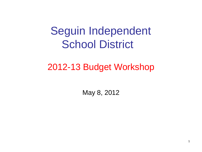# Seguin Independent School District

## 2012-13 Budget Workshop

May 8, 2012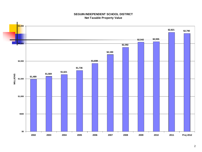#### **SEGUIN INDEPENDENT SCHOOL DISTRICT Net Taxable Property Value**

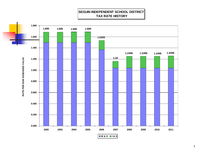#### **SEGUIN INDEPENDENT SCHOOL DISTRICT TAX RATE HISTORY**

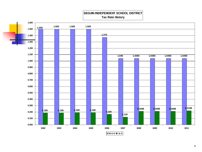#### **SEGUIN INDEPENDENT SCHOOL DISTRICT Tax Rate History**

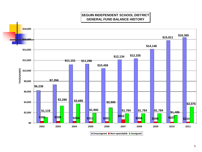**SEGUIN INDEPENDENT SCHOOL DISTRICT GENERAL FUND BALANCE HISTORY**

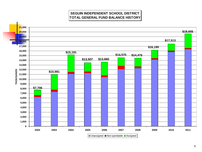**SEGUIN INDEPENDENT SCHOOL DISTRICT TOTAL GENERAL FUND BALANCE HISTORY**

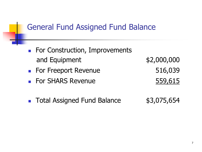### General Fund Assigned Fund Balance

- **For Construction, Improvements** and Equipment  $$2,000,000$
- For Freeport Revenue 516,039
- For SHARS Revenue 559,615

■ Total Assigned Fund Balance \$3,075,654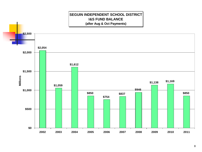

#### 8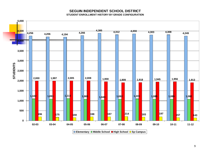#### **SEGUIN INDEPENDENT SCHOOL DISTRICT STUDENT ENROLLMENT HISTORY BY GRADE CONFIGURATION**

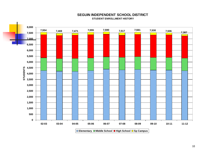

#### **SEGUIN INDEPENDENT SCHOOL DISTRICT STUDENT ENROLLMENT HISTORY**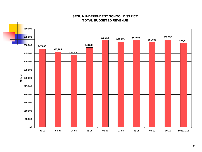

#### **SEGUIN INDEPENDENT SCHOOL DISTRICT TOTAL BUDGETED REVENUE**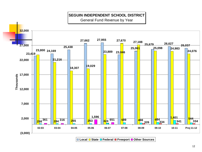### **SEGUIN INDEPENDENT SCHOOL DISTRICT**

General Fund Revenue by Year



**Local State Federal Freeport Other Sources**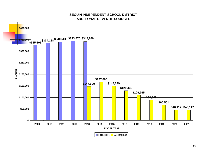#### **SEGUIN INDEPENDENT SCHOOL DISTRICT ADDITIONAL REVENUE SOURCES**

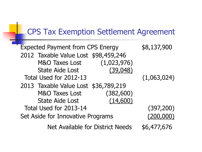## CPS Tax Exemption Settlement Agreement

e۳

| <b>Expected Payment from CPS Energy</b> | \$8,137,900 |
|-----------------------------------------|-------------|
| 2012 Taxable Value Lost \$98,459,246    |             |
| (1,023,976)<br>M&O Taxes Lost           |             |
| (39, 048)<br><b>State Aide Lost</b>     |             |
| Total Used for 2012-13                  | (1,063,024) |
| 2013 Taxable Value Lost \$36,789,219    |             |
| <b>M&amp;O Taxes Lost</b><br>(382, 600) |             |
| (14, 600)<br><b>State Aide Lost</b>     |             |
| Total Used for 2013-14                  | (397, 200)  |
| Set Aside for Innovative Programs       | (200,000)   |
| <b>Net Available for District Needs</b> | \$6,477,676 |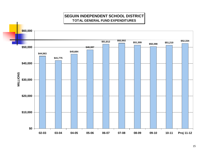### **SEGUIN INDEPENDENT SCHOOL DISTRICT TOTAL GENERAL FUND EXPENDITURES**

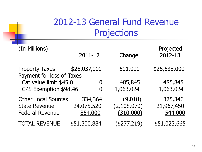## 2012-13 General Fund Revenue Projections

| (In Millions)                                                                | 2011-12                          | Change                              | Projected<br>2012-13             |
|------------------------------------------------------------------------------|----------------------------------|-------------------------------------|----------------------------------|
| <b>Property Taxes</b><br>Payment for loss of Taxes                           | \$26,037,000                     | 601,000                             | \$26,638,000                     |
| Cat value limit \$45.0<br>CPS Exemption \$98.46                              | $\overline{0}$<br>0              | 485,845<br>1,063,024                | 485,845<br>1,063,024             |
| <b>Other Local Sources</b><br><b>State Revenue</b><br><b>Federal Revenue</b> | 334,364<br>24,075,520<br>854,000 | (9,018)<br>(2,108,070)<br>(310,000) | 325,346<br>21,967,450<br>544,000 |
| <b>TOTAL REVENUE</b>                                                         | \$51,300,884                     | (\$277,219)                         | \$51,023,665                     |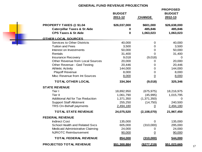#### **GENERAL FUND REVENUE PROJECTION**

|                                                                          | <b>BUDGET</b><br>2011-12 | <b>CHANGE</b>        | <b>PROPOSED</b><br><b>BUDGET</b><br>2012-13 |
|--------------------------------------------------------------------------|--------------------------|----------------------|---------------------------------------------|
| <b>PROPERTY TAXES @ \$1.04</b>                                           | \$26,037,000             | \$601,000            | \$26,638,000                                |
| <b>Caterpillar Taxes &amp; St Aide</b><br><b>CPS Taxes &amp; St Aide</b> | 0<br>$\mathbf 0$         | 485,846<br>1,063,023 | 485,846<br>1,063,023                        |
|                                                                          |                          |                      |                                             |
| <b>OTHER LOCAL SOURCES</b>                                               |                          |                      |                                             |
| <b>Services to Other Districts</b>                                       | 40,000                   | $\mathbf 0$          | 40,000                                      |
| <b>Tuition and Fees</b>                                                  | 3,500                    | $\Omega$             | 3,500                                       |
| Interest on Investments                                                  | 50,000                   | $\mathbf 0$          | 50,000                                      |
| Rentals                                                                  | 31,400                   | $\Omega$             | 31,400                                      |
| <b>Insurance Recovery</b>                                                | 9,018                    | (9,018)              | $\Omega$                                    |
| Other Revenue from Local Sources                                         | 20,000                   | 0                    | 20,000                                      |
| Other Revenue - Ged Testing                                              | 20,446                   | 0                    | 20,446                                      |
| <b>Athletic Activity</b>                                                 | 144,000                  | $\Omega$             | 144,000                                     |
| <b>Playoff Revenue</b>                                                   | 8,000                    | $\Omega$             | 8,000                                       |
| Misc Revenue from Int Sources                                            | 8,000                    | $\overline{0}$       | 8,000                                       |
| TOTAL OTHER LOCAL                                                        | 334,364                  | (9,018)              | 325,346                                     |
| <b>STATE REVENUE</b>                                                     |                          |                      |                                             |
| Tier I                                                                   | 18,892,950               | (675, 975)           | 18,216,975                                  |
| Tier II                                                                  | 1,061,790                | (45, 995)            | 1,015,795                                   |
| <b>Additional Aid for Tax Reduction</b>                                  | 1,371,350                | (1,371,350)          | 0                                           |
| <b>Support Staff Allotment</b>                                           | 255,250                  | (14,750)             | 240,500                                     |
| TRS On-Behalf payments                                                   | 2,494,180                | $\boldsymbol{0}$     | 2,494,180                                   |
| <b>TOTAL STATE REVENUE</b>                                               | 24,075,520               | (2, 108, 070)        | 21,967,450                                  |
| <b>FEDERAL REVENUE</b>                                                   |                          |                      |                                             |
| <b>Indirect Cost</b>                                                     | 135,000                  | 0                    | 135,000                                     |
| <b>School Health and Related Svcs</b>                                    | 605,000                  | (310,000)            | 295,000                                     |
| Medicaid Administrative Claiming                                         | 24,000                   | 0                    | 24,000                                      |
| <b>NJROTC Reimbursement</b>                                              | 90,000                   | $\pmb{0}$            | 90,000                                      |
| <b>TOTAL FEDERAL REVENUE</b>                                             | 854,000                  | (310,000)            | 544,000                                     |
| <b>PROJECTED TOTAL REVENUE</b>                                           | \$51,300,884             | (\$277,219)          | \$51,023,665                                |

÷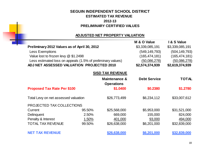### **SEGUIN INDEPENDENT SCHOOL DISTRICT ESTIMATED TAX REVENUE 2012-13 PRELIMINARY CERTIFIED VALUES**

#### **ADJUSTED NET PROPERTY VALUATION**

|                                                             |        |                          | M & O Value         | I & S Value     |
|-------------------------------------------------------------|--------|--------------------------|---------------------|-----------------|
| Preliminary 2012 Values as of April 30, 2012                |        |                          | \$3,339,085,191     | \$3,339,085,191 |
| <b>Less Exemptions</b>                                      |        |                          | (549, 149, 793)     | (504, 149, 793) |
| Value lost to frozen levy @ \$1.2498                        |        |                          | (165, 474, 181)     | (165, 474, 181) |
| Less estimated loss on appeals (1.5% of preliminary values) |        |                          | (50,086,278)        | (50,086,278)    |
| ADJ NET ASSESSED VALUATION PROJECTED 2010                   |        |                          | \$2,574,374,939     | \$2,619,374,939 |
|                                                             |        | <b>SISD TAX REVENUE</b>  |                     |                 |
|                                                             |        | <b>Maintenance &amp;</b> | <b>Debt Service</b> | <b>TOTAL</b>    |
|                                                             |        | <b>Operations</b>        |                     |                 |
| <b>Proposed Tax Rate Per \$100</b>                          |        | \$1.0400                 | \$0.2380            | \$1.2780        |
| Total Levy on net assessed valuation                        |        | \$26,773,499             | \$6,234,112         | \$33,007,612    |
| PROJECTED TAX COLLECTIONS                                   |        |                          |                     |                 |
| Current                                                     | 95.50% | \$25,568,000             | \$5,953,000         | \$31,521,000    |
| Delinquent                                                  | 2.50%  | 669,000                  | 155,000             | 824,000         |
| Penalty & Interest                                          | 1.50%  | 401,000                  | 93,000              | 494,000         |
| TOTAL TAX REVENUE                                           | 99.50% | \$26,638,000             | \$6,201,000         | \$32,839,000    |
| <b>NET TAX REVENUE</b>                                      |        | \$26,638,000             | \$6,201,000         | \$32,839,000    |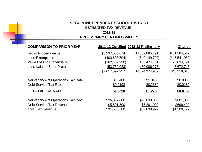### **SEGUIN INDEPENDENT SCHOOL DISTRICT ESTIMATED TAX REVENUE**

### **2012-13**

#### **PRELIMINARY CERTIFIED VALUES**

| Change          |
|-----------------|
| \$101,584,517   |
| (145, 541, 089) |
| (3,034,191)     |
| 3,672,745       |
| (\$43,318,018)  |
| \$0.0000        |
| \$0.0182        |
| \$0.0182        |
| \$601,000       |
| \$699,499       |
| \$1,300,499     |
|                 |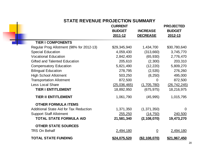### **STATE REVENUE PROJECTION SUMMARY**

 $\blacksquare$ 

|                                               | <b>CURRENT</b><br><b>BUDGET</b><br>2011-12 | <b>INCREASE</b><br><b>DECREASE</b> | <b>PROJECTED</b><br><b>BUDGET</b><br>2012-13 |
|-----------------------------------------------|--------------------------------------------|------------------------------------|----------------------------------------------|
| <b>TIER I COMPONENTS</b>                      |                                            |                                    |                                              |
| Regular Prog Allotment (98% for 2012-13)      | \$29,345,940                               | 1,434,700                          | \$30,780,640                                 |
| <b>Special Education</b>                      | 4,059,430                                  | (313,660)                          | 3,745,770                                    |
| <b>Vocational Education</b>                   | 2,842,400                                  | (65, 930)                          | 2,776,470                                    |
| <b>Gifted and Talented Education</b>          | 205,610                                    | (2,300)                            | 203,310                                      |
| <b>Compensatory Education</b>                 | 5,821,490                                  | (12, 220)                          | 5,809,270                                    |
| <b>Bilingual Education</b>                    | 278,795                                    | (2, 535)                           | 276,260                                      |
| <b>High School Allotment</b>                  | 503,250                                    | (8, 250)                           | 495,000                                      |
| <b>Transportation Allotment</b>               | 872,500                                    | 0                                  | 872,500                                      |
| <b>Less Local Share</b>                       | (25,036,465)                               | (1,705,780)                        | (26, 742, 245)                               |
| <b>TIER I ENTITLEMENT</b>                     | 18,892,950                                 | (675, 975)                         | 18,216,975                                   |
| <b>TIER II ENTITLEMENT</b>                    | 1,061,790                                  | (45, 995)                          | 1,015,795                                    |
| <b>OTHER FORMULA ITEMS</b>                    |                                            |                                    |                                              |
| <b>Additional State Aid for Tax Reduction</b> | 1,371,350                                  | (1,371,350)                        | $\overline{0}$                               |
| <b>Support Staff Allotment</b>                | 255,250                                    | (14, 750)                          | 240,500                                      |
| <b>TOTAL STATE FORMULA AID</b>                | 21,581,340                                 | (2, 108, 070)                      | 19,473,270                                   |
| <b>OTHER STATE SOURCES</b>                    |                                            |                                    |                                              |
| <b>TRS On Behalf</b>                          | 2,494,180                                  | $\Omega$                           | 2,494,180                                    |
| <b>TOTAL STATE FUNDING</b>                    | \$24,075,520                               | ( \$2, 108, 070)                   | \$21,967,450                                 |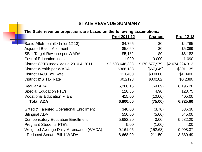### **STATE REVENUE SUMMARY**

### **The State revenue projections are based on the following assumptions:**

۰

|                                          | <u>Proj 2011-12</u> | <b>Change</b> | <u>Proj 12-13</u> |
|------------------------------------------|---------------------|---------------|-------------------|
| Basic Allotment (98% for 12-13)          | \$4,765             | \$0           | \$4,765           |
| <b>Adjusted Basic Allotment</b>          | \$5,069             | \$0           | \$5,069           |
| SB 1 Target Revenue per WADA             | \$5,182             | \$0           | \$5,182           |
| <b>Cost of Education Index</b>           | 1.090               | 0.000         | 1.090             |
| District CPTD Index Value 2010 & 2011    | \$2,503,646,333     | \$170,577,979 | \$2,674,224,312   |
| District Wealth per WADA                 | \$368,183           | (\$67,049)    | \$301,135         |
| District M&O Tax Rate                    | \$1.0400            | \$0.0000      | \$1.0400          |
| District I&S Tax Rate                    | \$0.2198            | \$0.0182      | \$0.2380          |
| <b>Regular ADA</b>                       | 6,266.15            | (69.89)       | 6,196.26          |
| <b>Special Education FTE's</b>           | 118.85              | 4.90          | 123.75            |
| <b>Vocational Education FTE's</b>        | 415.00              | (10.00)       | 405.00            |
| <b>Total ADA</b>                         | 6,800.00            | (75.00)       | 6,725.00          |
| Gifted & Talented Operational Enrollment | 340.00              | (3.70)        | 336.30            |
| <b>Bilingual ADA</b>                     | 550.00              | (5.00)        | 545.00            |
| <b>Compensatory Education Enrollment</b> | 5,682.20            | 0.00          | 5,682.20          |
| <b>Pregnant Students FTE's</b>           | 5.00                | (1.00)        | 4.00              |
| Weighted Average Daily Attendance (WADA) | 9,161.05            | (152.68)      | 9,008.37          |
| <b>Reduced Senate Bill 1 WADA</b>        | 8,668.99            | 211.50        | 8,880.49          |
|                                          |                     |               |                   |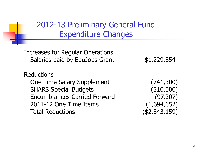2012-13 Preliminary General Fund Expenditure Changes

Increases for Regular Operations Salaries paid by EduJobs Grant  $$1,229,854$ 

Reductions One Time Salary Supplement (741,300) SHARS Special Budgets (310,000) Encumbrances Carried Forward (97,207) 2011-12 One Time Items (1,694,652) Total Reductions (\$2,843,159)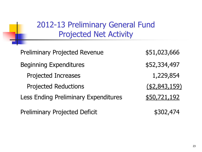2012-13 Preliminary General Fund Projected Net Activity

Preliminary Projected Revenue  $$51,023,666$ Beginning Expenditures  $$52,334,497$ Projected Increases 1,229,854 Projected Reductions (\$2,843,159) Less Ending Preliminary Expenditures \$50,721,192 Preliminary Projected Deficit  $$302,474$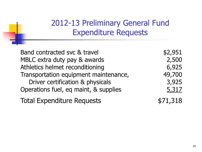## 2012-13 Preliminary General Fund Expenditure Requests

| Band contracted svc & travel          | \$2,951  |
|---------------------------------------|----------|
| MBLC extra duty pay & awards          | 2,500    |
| Athletics helmet reconditioning       | 6,925    |
| Transportation equipment maintenance, | 49,700   |
| Driver certification & physicals      | 3,925    |
| Operations fuel, eq maint, & supplies | 5,317    |
| <b>Total Expenditure Requests</b>     | \$71,318 |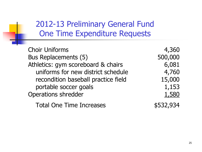## 2012-13 Preliminary General Fund One Time Expenditure Requests

| <b>Choir Uniforms</b>               | 4,360     |
|-------------------------------------|-----------|
| Bus Replacements (5)                | 500,000   |
| Athletics: gym scoreboard & chairs  | 6,081     |
| uniforms for new district schedule  | 4,760     |
| recondition baseball practice field | 15,000    |
| portable soccer goals               | 1,153     |
| <b>Operations shredder</b>          | 1,580     |
| <b>Total One Time Increases</b>     | \$532,934 |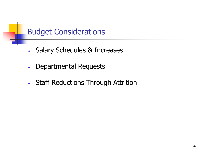## Budget Considerations

- Salary Schedules & Increases
- Departmental Requests
- Staff Reductions Through Attrition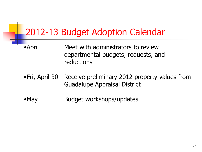## 2012-13 Budget Adoption Calendar

- •April Meet with administrators to review departmental budgets, requests, and reductions
- •Fri, April 30 Receive preliminary 2012 property values from Guadalupe Appraisal District
- •May Budget workshops/updates